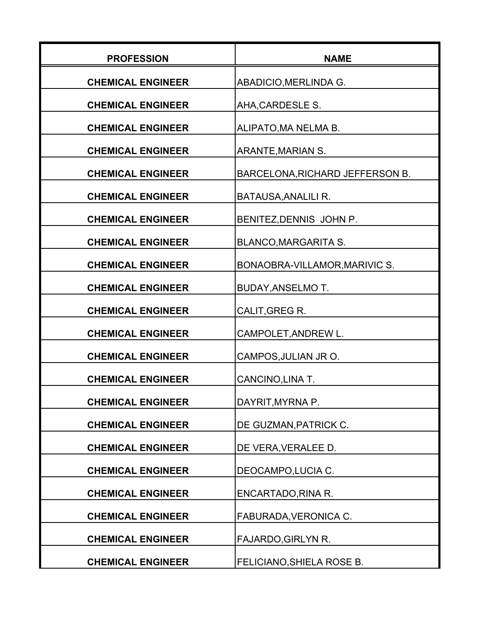| <b>PROFESSION</b>        | <b>NAME</b>                      |
|--------------------------|----------------------------------|
| <b>CHEMICAL ENGINEER</b> | ABADICIO, MERLINDA G.            |
| <b>CHEMICAL ENGINEER</b> | AHA, CARDESLE S.                 |
| <b>CHEMICAL ENGINEER</b> | ALIPATO, MA NELMA B.             |
| <b>CHEMICAL ENGINEER</b> | <b>ARANTE, MARIAN S.</b>         |
| <b>CHEMICAL ENGINEER</b> | BARCELONA, RICHARD JEFFERSON B.  |
| <b>CHEMICAL ENGINEER</b> | <b>BATAUSA, ANALILI R.</b>       |
| <b>CHEMICAL ENGINEER</b> | BENITEZ, DENNIS JOHN P.          |
| <b>CHEMICAL ENGINEER</b> | <b>BLANCO, MARGARITA S.</b>      |
| <b>CHEMICAL ENGINEER</b> | BONAOBRA-VILLAMOR, MARIVIC S.    |
| <b>CHEMICAL ENGINEER</b> | <b>BUDAY, ANSELMO T.</b>         |
| <b>CHEMICAL ENGINEER</b> | CALIT, GREG R.                   |
| <b>CHEMICAL ENGINEER</b> | CAMPOLET, ANDREW L.              |
| <b>CHEMICAL ENGINEER</b> | CAMPOS, JULIAN JR O.             |
| <b>CHEMICAL ENGINEER</b> | CANCINO, LINA T.                 |
| <b>CHEMICAL ENGINEER</b> | DAYRIT, MYRNA P.                 |
| <b>CHEMICAL ENGINEER</b> | DE GUZMAN, PATRICK C.            |
| <b>CHEMICAL ENGINEER</b> | DE VERA, VERALEE D.              |
| <b>CHEMICAL ENGINEER</b> | DEOCAMPO, LUCIA C.               |
| <b>CHEMICAL ENGINEER</b> | ENCARTADO, RINA R.               |
| <b>CHEMICAL ENGINEER</b> | FABURADA, VERONICA C.            |
| <b>CHEMICAL ENGINEER</b> | FAJARDO, GIRLYN R.               |
| <b>CHEMICAL ENGINEER</b> | <b>FELICIANO, SHIELA ROSE B.</b> |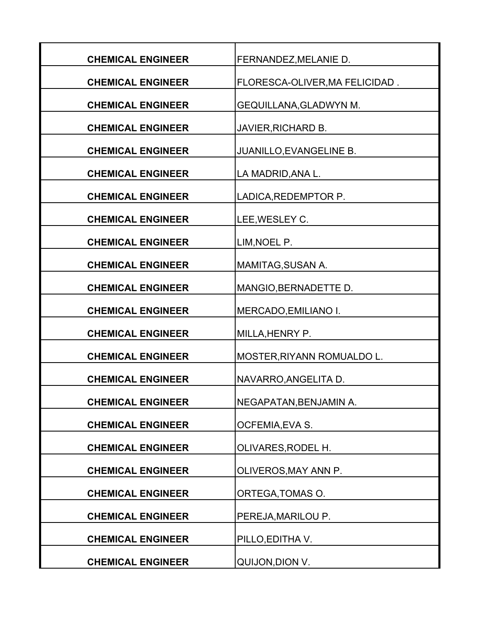| <b>CHEMICAL ENGINEER</b> | FERNANDEZ, MELANIE D.          |
|--------------------------|--------------------------------|
| <b>CHEMICAL ENGINEER</b> | FLORESCA-OLIVER, MA FELICIDAD. |
| <b>CHEMICAL ENGINEER</b> | <b>GEQUILLANA, GLADWYN M.</b>  |
| <b>CHEMICAL ENGINEER</b> | <b>JAVIER, RICHARD B.</b>      |
| <b>CHEMICAL ENGINEER</b> | JUANILLO, EVANGELINE B.        |
| <b>CHEMICAL ENGINEER</b> | LA MADRID, ANA L.              |
| <b>CHEMICAL ENGINEER</b> | LADICA, REDEMPTOR P.           |
| <b>CHEMICAL ENGINEER</b> | LEE, WESLEY C.                 |
| <b>CHEMICAL ENGINEER</b> | LIM, NOEL P.                   |
| <b>CHEMICAL ENGINEER</b> | MAMITAG, SUSAN A.              |
| <b>CHEMICAL ENGINEER</b> | MANGIO, BERNADETTE D.          |
| <b>CHEMICAL ENGINEER</b> | MERCADO, EMILIANO I.           |
| <b>CHEMICAL ENGINEER</b> | MILLA, HENRY P.                |
| <b>CHEMICAL ENGINEER</b> | MOSTER, RIYANN ROMUALDO L.     |
| <b>CHEMICAL ENGINEER</b> | NAVARRO, ANGELITA D.           |
| <b>CHEMICAL ENGINEER</b> | NEGAPATAN, BENJAMIN A.         |
| <b>CHEMICAL ENGINEER</b> | OCFEMIA, EVA S.                |
| <b>CHEMICAL ENGINEER</b> | OLIVARES, RODEL H.             |
| <b>CHEMICAL ENGINEER</b> | OLIVEROS, MAY ANN P.           |
| <b>CHEMICAL ENGINEER</b> | ORTEGA, TOMAS O.               |
| <b>CHEMICAL ENGINEER</b> | PEREJA, MARILOU P.             |
| <b>CHEMICAL ENGINEER</b> | PILLO, EDITHA V.               |
| <b>CHEMICAL ENGINEER</b> | QUIJON, DION V.                |